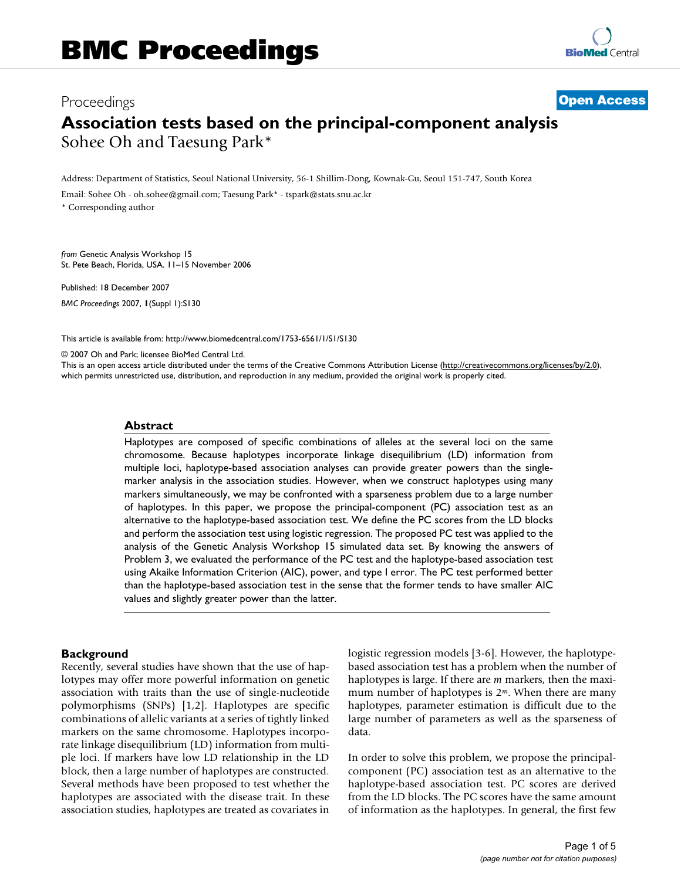# Proceedings **[Open Access](http://www.biomedcentral.com/info/about/charter/) Association tests based on the principal-component analysis** Sohee Oh and Taesung Park\*

Address: Department of Statistics, Seoul National University, 56-1 Shillim-Dong, Kownak-Gu, Seoul 151-747, South Korea

Email: Sohee Oh - oh.sohee@gmail.com; Taesung Park\* - tspark@stats.snu.ac.kr

\* Corresponding author

*from* Genetic Analysis Workshop 15 St. Pete Beach, Florida, USA. 11–15 November 2006

Published: 18 December 2007 *BMC Proceedings* 2007, **1**(Suppl 1):S130

[This article is available from: http://www.biomedcentral.com/1753-6561/1/S1/S130](http://www.biomedcentral.com/1753-6561/1/S1/S130)

© 2007 Oh and Park; licensee BioMed Central Ltd.

This is an open access article distributed under the terms of the Creative Commons Attribution License [\(http://creativecommons.org/licenses/by/2.0\)](http://creativecommons.org/licenses/by/2.0), which permits unrestricted use, distribution, and reproduction in any medium, provided the original work is properly cited.

#### **Abstract**

Haplotypes are composed of specific combinations of alleles at the several loci on the same chromosome. Because haplotypes incorporate linkage disequilibrium (LD) information from multiple loci, haplotype-based association analyses can provide greater powers than the singlemarker analysis in the association studies. However, when we construct haplotypes using many markers simultaneously, we may be confronted with a sparseness problem due to a large number of haplotypes. In this paper, we propose the principal-component (PC) association test as an alternative to the haplotype-based association test. We define the PC scores from the LD blocks and perform the association test using logistic regression. The proposed PC test was applied to the analysis of the Genetic Analysis Workshop 15 simulated data set. By knowing the answers of Problem 3, we evaluated the performance of the PC test and the haplotype-based association test using Akaike Information Criterion (AIC), power, and type I error. The PC test performed better than the haplotype-based association test in the sense that the former tends to have smaller AIC values and slightly greater power than the latter.

#### **Background**

Recently, several studies have shown that the use of haplotypes may offer more powerful information on genetic association with traits than the use of single-nucleotide polymorphisms (SNPs) [1,2]. Haplotypes are specific combinations of allelic variants at a series of tightly linked markers on the same chromosome. Haplotypes incorporate linkage disequilibrium (LD) information from multiple loci. If markers have low LD relationship in the LD block, then a large number of haplotypes are constructed. Several methods have been proposed to test whether the haplotypes are associated with the disease trait. In these association studies, haplotypes are treated as covariates in logistic regression models [3-6]. However, the haplotypebased association test has a problem when the number of haplotypes is large. If there are *m* markers, then the maximum number of haplotypes is 2*<sup>m</sup>*. When there are many haplotypes, parameter estimation is difficult due to the large number of parameters as well as the sparseness of data.

In order to solve this problem, we propose the principalcomponent (PC) association test as an alternative to the haplotype-based association test. PC scores are derived from the LD blocks. The PC scores have the same amount of information as the haplotypes. In general, the first few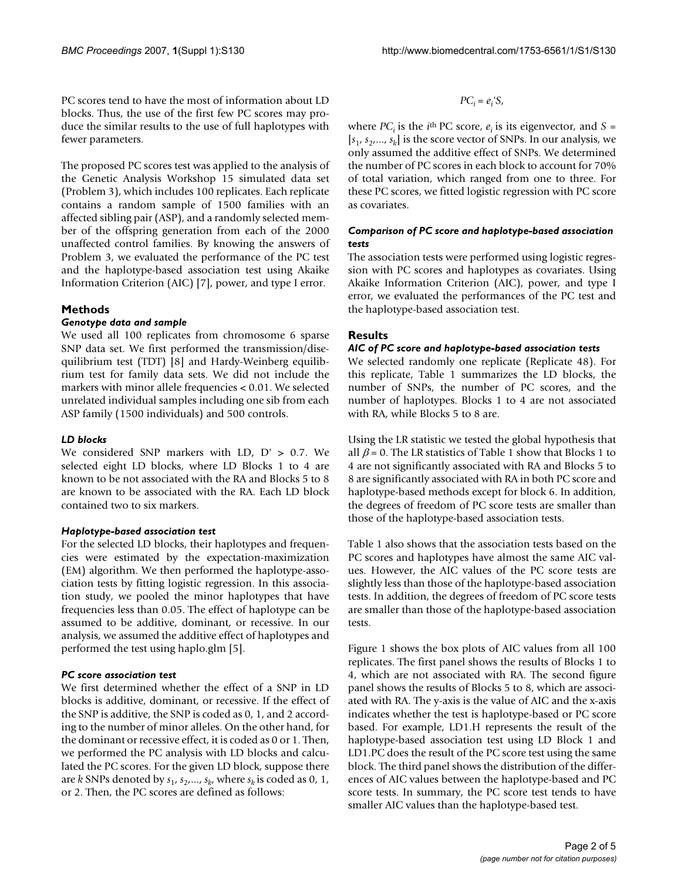PC scores tend to have the most of information about LD blocks. Thus, the use of the first few PC scores may produce the similar results to the use of full haplotypes with fewer parameters.

The proposed PC scores test was applied to the analysis of the Genetic Analysis Workshop 15 simulated data set (Problem 3), which includes 100 replicates. Each replicate contains a random sample of 1500 families with an affected sibling pair (ASP), and a randomly selected member of the offspring generation from each of the 2000 unaffected control families. By knowing the answers of Problem 3, we evaluated the performance of the PC test and the haplotype-based association test using Akaike Information Criterion (AIC) [7], power, and type I error.

## **Methods**

### *Genotype data and sample*

We used all 100 replicates from chromosome 6 sparse SNP data set. We first performed the transmission/disequilibrium test (TDT) [8] and Hardy-Weinberg equilibrium test for family data sets. We did not include the markers with minor allele frequencies < 0.01. We selected unrelated individual samples including one sib from each ASP family (1500 individuals) and 500 controls.

## *LD blocks*

We considered SNP markers with LD,  $D' > 0.7$ . We selected eight LD blocks, where LD Blocks 1 to 4 are known to be not associated with the RA and Blocks 5 to 8 are known to be associated with the RA. Each LD block contained two to six markers.

#### *Haplotype-based association test*

For the selected LD blocks, their haplotypes and frequencies were estimated by the expectation-maximization (EM) algorithm. We then performed the haplotype-association tests by fitting logistic regression. In this association study, we pooled the minor haplotypes that have frequencies less than 0.05. The effect of haplotype can be assumed to be additive, dominant, or recessive. In our analysis, we assumed the additive effect of haplotypes and performed the test using haplo.glm [5].

## *PC score association test*

We first determined whether the effect of a SNP in LD blocks is additive, dominant, or recessive. If the effect of the SNP is additive, the SNP is coded as 0, 1, and 2 according to the number of minor alleles. On the other hand, for the dominant or recessive effect, it is coded as 0 or 1. Then, we performed the PC analysis with LD blocks and calculated the PC scores. For the given LD block, suppose there are *k* SNPs denoted by  $s_1$ ,  $s_2$ ,...,  $s_k$ , where  $s_k$  is coded as 0, 1, or 2. Then, the PC scores are defined as follows:

$$
PC_i = e_i'S,
$$

where *PC<sub>i</sub>* is the *i*<sup>th</sup> *PC* score,  $e_i$  is its eigenvector, and *S* =  $[s_1, s_2, ..., s_k]$  is the score vector of SNPs. In our analysis, we only assumed the additive effect of SNPs. We determined the number of PC scores in each block to account for 70% of total variation, which ranged from one to three. For these PC scores, we fitted logistic regression with PC score as covariates.

#### *Comparison of PC score and haplotype-based association tests*

The association tests were performed using logistic regression with PC scores and haplotypes as covariates. Using Akaike Information Criterion (AIC), power, and type I error, we evaluated the performances of the PC test and the haplotype-based association test.

# **Results**

### *AIC of PC score and haplotype-based association tests*

We selected randomly one replicate (Replicate 48). For this replicate, Table 1 summarizes the LD blocks, the number of SNPs, the number of PC scores, and the number of haplotypes. Blocks 1 to 4 are not associated with RA, while Blocks 5 to 8 are.

Using the LR statistic we tested the global hypothesis that all  $\beta$  = 0. The LR statistics of Table 1 show that Blocks 1 to 4 are not significantly associated with RA and Blocks 5 to 8 are significantly associated with RA in both PC score and haplotype-based methods except for block 6. In addition, the degrees of freedom of PC score tests are smaller than those of the haplotype-based association tests.

Table 1 also shows that the association tests based on the PC scores and haplotypes have almost the same AIC values. However, the AIC values of the PC score tests are slightly less than those of the haplotype-based association tests. In addition, the degrees of freedom of PC score tests are smaller than those of the haplotype-based association tests.

Figure 1 shows the box plots of AIC values from all 100 replicates. The first panel shows the results of Blocks 1 to 4, which are not associated with RA. The second figure panel shows the results of Blocks 5 to 8, which are associated with RA. The y-axis is the value of AIC and the x-axis indicates whether the test is haplotype-based or PC score based. For example, LD1.H represents the result of the haplotype-based association test using LD Block 1 and LD1.PC does the result of the PC score test using the same block. The third panel shows the distribution of the differences of AIC values between the haplotype-based and PC score tests. In summary, the PC score test tends to have smaller AIC values than the haplotype-based test.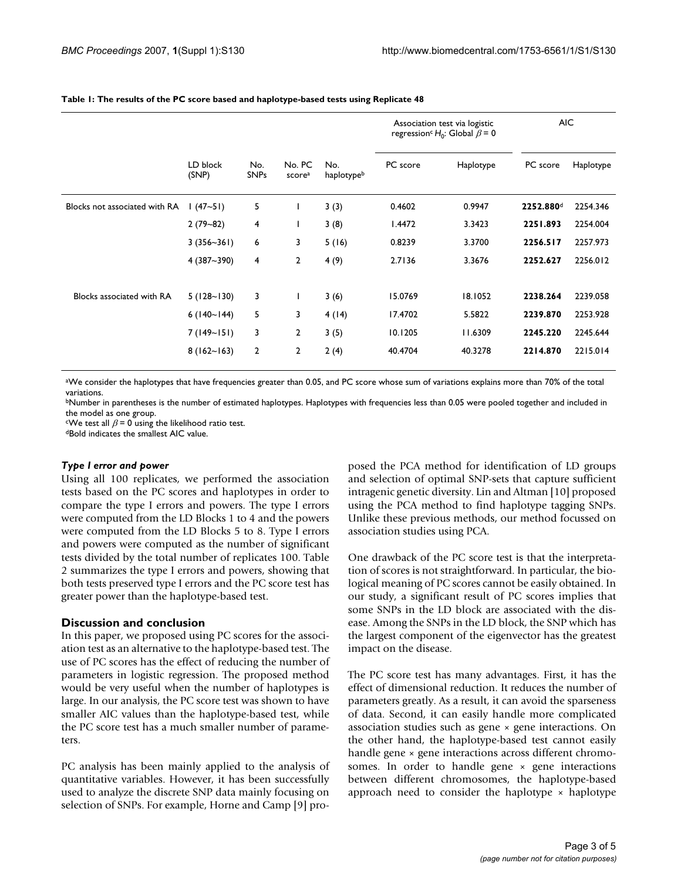|                               |                   |                    |                  |                   | Association test via logistic<br>regression <sup>c</sup> H <sub>0</sub> : Global $\beta$ = 0 |           | <b>AIC</b> |           |
|-------------------------------|-------------------|--------------------|------------------|-------------------|----------------------------------------------------------------------------------------------|-----------|------------|-----------|
|                               | LD block<br>(SNP) | No.<br><b>SNPs</b> | No. PC<br>scorea | No.<br>haplotypeb | PC score                                                                                     | Haplotype | PC score   | Haplotype |
| Blocks not associated with RA | $1(47-51)$        | 5                  | ш                | 3(3)              | 0.4602                                                                                       | 0.9947    | 2252.880d  | 2254.346  |
|                               | $2(79-82)$        | 4                  |                  | 3(8)              | 1.4472                                                                                       | 3.3423    | 2251.893   | 2254.004  |
|                               | $3(356-361)$      | 6                  | 3                | 5(16)             | 0.8239                                                                                       | 3.3700    | 2256.517   | 2257.973  |
|                               | $4(387-390)$      | $\overline{4}$     | 2                | 4(9)              | 2.7136                                                                                       | 3.3676    | 2252.627   | 2256.012  |
| Blocks associated with RA     | $5(128 - 130)$    | 3                  |                  | 3(6)              | 15.0769                                                                                      | 18.1052   | 2238.264   | 2239.058  |
|                               | 6(140~144)        | 5                  | 3                | 4(14)             | 17.4702                                                                                      | 5.5822    | 2239.870   | 2253.928  |
|                               | 7(149~151)        | 3                  | $\overline{2}$   | 3(5)              | 10.1205                                                                                      | 11.6309   | 2245.220   | 2245.644  |
|                               | 8(162~163)        | $\overline{2}$     | 2                | 2(4)              | 40.4704                                                                                      | 40.3278   | 2214.870   | 2215.014  |

#### **Table 1: The results of the PC score based and haplotype-based tests using Replicate 48**

aWe consider the haplotypes that have frequencies greater than 0.05, and PC score whose sum of variations explains more than 70% of the total variations.

bNumber in parentheses is the number of estimated haplotypes. Haplotypes with frequencies less than 0.05 were pooled together and included in the model as one group.

<sup>c</sup>We test all  $β = 0$  using the likelihood ratio test.

dBold indicates the smallest AIC value.

#### *Type I error and power*

Using all 100 replicates, we performed the association tests based on the PC scores and haplotypes in order to compare the type I errors and powers. The type I errors were computed from the LD Blocks 1 to 4 and the powers were computed from the LD Blocks 5 to 8. Type I errors and powers were computed as the number of significant tests divided by the total number of replicates 100. Table 2 summarizes the type I errors and powers, showing that both tests preserved type I errors and the PC score test has greater power than the haplotype-based test.

#### **Discussion and conclusion**

In this paper, we proposed using PC scores for the association test as an alternative to the haplotype-based test. The use of PC scores has the effect of reducing the number of parameters in logistic regression. The proposed method would be very useful when the number of haplotypes is large. In our analysis, the PC score test was shown to have smaller AIC values than the haplotype-based test, while the PC score test has a much smaller number of parameters.

PC analysis has been mainly applied to the analysis of quantitative variables. However, it has been successfully used to analyze the discrete SNP data mainly focusing on selection of SNPs. For example, Horne and Camp [9] proposed the PCA method for identification of LD groups and selection of optimal SNP-sets that capture sufficient intragenic genetic diversity. Lin and Altman [10] proposed using the PCA method to find haplotype tagging SNPs. Unlike these previous methods, our method focussed on association studies using PCA.

One drawback of the PC score test is that the interpretation of scores is not straightforward. In particular, the biological meaning of PC scores cannot be easily obtained. In our study, a significant result of PC scores implies that some SNPs in the LD block are associated with the disease. Among the SNPs in the LD block, the SNP which has the largest component of the eigenvector has the greatest impact on the disease.

The PC score test has many advantages. First, it has the effect of dimensional reduction. It reduces the number of parameters greatly. As a result, it can avoid the sparseness of data. Second, it can easily handle more complicated association studies such as gene × gene interactions. On the other hand, the haplotype-based test cannot easily handle gene × gene interactions across different chromosomes. In order to handle gene  $\times$  gene interactions between different chromosomes, the haplotype-based approach need to consider the haplotype × haplotype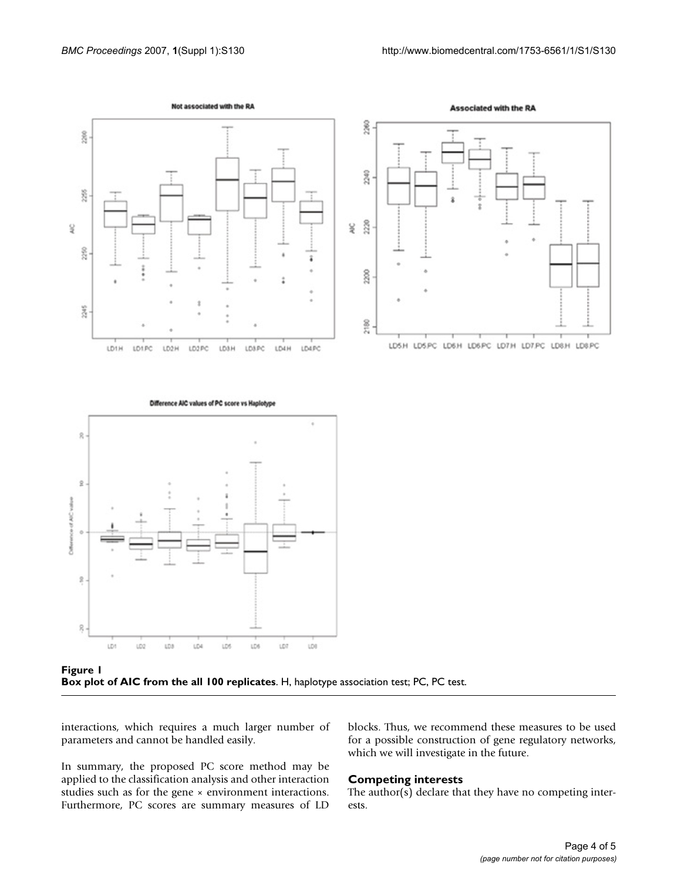

**Figure 1 Box plot of AIC from the all 100 replicates**. H, haplotype association test; PC, PC test.

interactions, which requires a much larger number of parameters and cannot be handled easily.

In summary, the proposed PC score method may be applied to the classification analysis and other interaction studies such as for the gene × environment interactions. Furthermore, PC scores are summary measures of LD

#### blocks. Thus, we recommend these measures to be used for a possible construction of gene regulatory networks, which we will investigate in the future.

#### **Competing interests**

The author(s) declare that they have no competing interests.